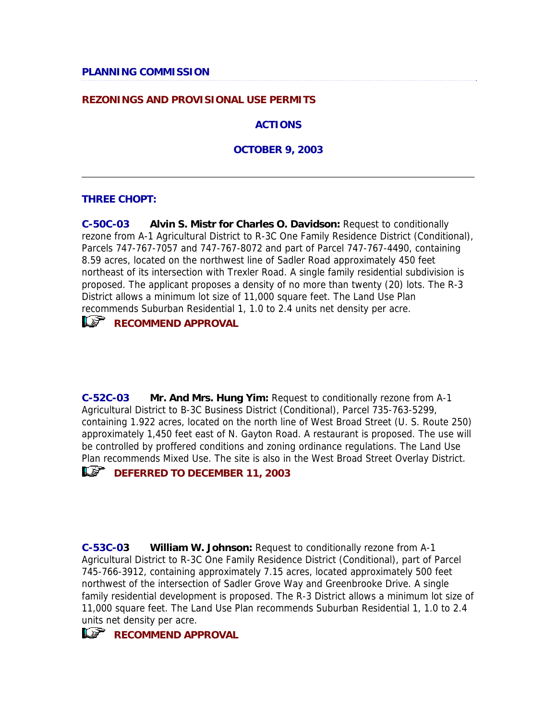## **REZONINGS AND PROVISIONAL USE PERMITS**

**ACTIONS**

**OCTOBER 9, 2003**

## **THREE CHOPT:**

**C-50C-03 Alvin S. Mistr for Charles O. Davidson:** Request to conditionally rezone from A-1 Agricultural District to R-3C One Family Residence District (Conditional), Parcels 747-767-7057 and 747-767-8072 and part of Parcel 747-767-4490, containing 8.59 acres, located on the northwest line of Sadler Road approximately 450 feet northeast of its intersection with Trexler Road. A single family residential subdivision is proposed. The applicant proposes a density of no more than twenty (20) lots. The R-3 District allows a minimum lot size of 11,000 square feet. The Land Use Plan recommends Suburban Residential 1, 1.0 to 2.4 units net density per acre.



**RECOMMEND APPROVAL** 

**C-52C-03 Mr. And Mrs. Hung Yim:** Request to conditionally rezone from A-1 Agricultural District to B-3C Business District (Conditional), Parcel 735-763-5299, containing 1.922 acres, located on the north line of West Broad Street (U. S. Route 250) approximately 1,450 feet east of N. Gayton Road. A restaurant is proposed. The use will be controlled by proffered conditions and zoning ordinance regulations. The Land Use Plan recommends Mixed Use. The site is also in the West Broad Street Overlay District.

# **LS** DEFERRED TO DECEMBER 11, 2003

**C-53C-03 William W. Johnson:** Request to conditionally rezone from A-1 Agricultural District to R-3C One Family Residence District (Conditional), part of Parcel 745-766-3912, containing approximately 7.15 acres, located approximately 500 feet northwest of the intersection of Sadler Grove Way and Greenbrooke Drive. A single family residential development is proposed. The R-3 District allows a minimum lot size of 11,000 square feet. The Land Use Plan recommends Suburban Residential 1, 1.0 to 2.4 units net density per acre.

# **RECOMMEND APPROVAL**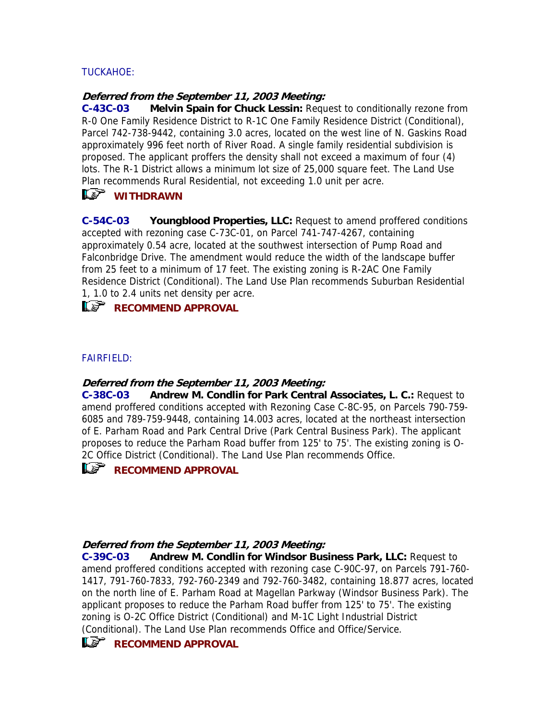# TUCKAHOE:

#### **Deferred from the September 11, 2003 Meeting:**

**C-43C-03 Melvin Spain for Chuck Lessin:** Request to conditionally rezone from R-0 One Family Residence District to R-1C One Family Residence District (Conditional), Parcel 742-738-9442, containing 3.0 acres, located on the west line of N. Gaskins Road approximately 996 feet north of River Road. A single family residential subdivision is proposed. The applicant proffers the density shall not exceed a maximum of four (4) lots. The R-1 District allows a minimum lot size of 25,000 square feet. The Land Use Plan recommends Rural Residential, not exceeding 1.0 unit per acre.

# *K*<sup>*wITHDRAWN</sup>*

**C-54C-03 Youngblood Properties, LLC:** Request to amend proffered conditions accepted with rezoning case C-73C-01, on Parcel 741-747-4267, containing approximately 0.54 acre, located at the southwest intersection of Pump Road and Falconbridge Drive. The amendment would reduce the width of the landscape buffer from 25 feet to a minimum of 17 feet. The existing zoning is R-2AC One Family Residence District (Conditional). The Land Use Plan recommends Suburban Residential 1, 1.0 to 2.4 units net density per acre.

**RECOMMEND APPROVAL** 

## FAIRFIELD:

## **Deferred from the September 11, 2003 Meeting:**

**C-38C-03 Andrew M. Condlin for Park Central Associates, L. C.:** Request to amend proffered conditions accepted with Rezoning Case C-8C-95, on Parcels 790-759- 6085 and 789-759-9448, containing 14.003 acres, located at the northeast intersection of E. Parham Road and Park Central Drive (Park Central Business Park). The applicant proposes to reduce the Parham Road buffer from 125' to 75'. The existing zoning is O-2C Office District (Conditional). The Land Use Plan recommends Office.



## **Deferred from the September 11, 2003 Meeting:**

**C-39C-03 Andrew M. Condlin for Windsor Business Park, LLC:** Request to amend proffered conditions accepted with rezoning case C-90C-97, on Parcels 791-760- 1417, 791-760-7833, 792-760-2349 and 792-760-3482, containing 18.877 acres, located on the north line of E. Parham Road at Magellan Parkway (Windsor Business Park). The applicant proposes to reduce the Parham Road buffer from 125' to 75'. The existing zoning is O-2C Office District (Conditional) and M-1C Light Industrial District (Conditional). The Land Use Plan recommends Office and Office/Service.